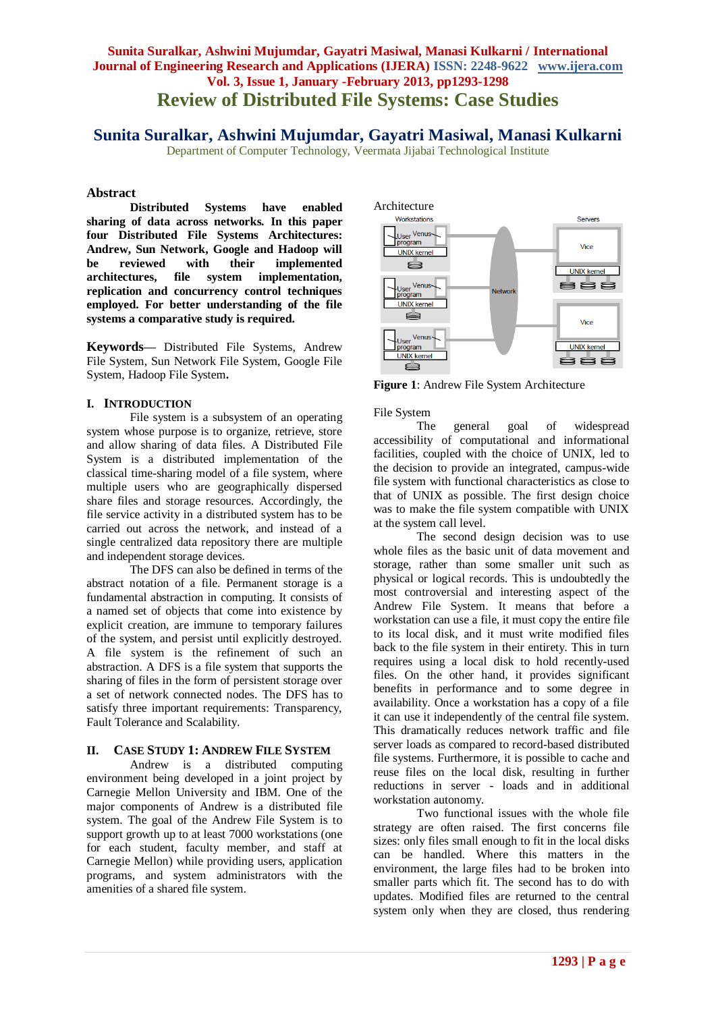### **Sunita Suralkar, Ashwini Mujumdar, Gayatri Masiwal, Manasi Kulkarni / International Journal of Engineering Research and Applications (IJERA) ISSN: 2248-9622 www.ijera.com Vol. 3, Issue 1, January -February 2013, pp1293-1298 Review of Distributed File Systems: Case Studies**

## **Sunita Suralkar, Ashwini Mujumdar, Gayatri Masiwal, Manasi Kulkarni**

Department of Computer Technology, Veermata Jijabai Technological Institute

#### **Abstract**

**Distributed Systems have enabled sharing of data across networks. In this paper four Distributed File Systems Architectures: Andrew, Sun Network, Google and Hadoop will be reviewed with their implemented architectures, file system implementation, replication and concurrency control techniques employed. For better understanding of the file systems a comparative study is required.**

**Keywords—** Distributed File Systems, Andrew File System, Sun Network File System, Google File System, Hadoop File System**.**

#### **I. INTRODUCTION**

File system is a subsystem of an operating system whose purpose is to organize, retrieve, store and allow sharing of data files. A Distributed File System is a distributed implementation of the classical time-sharing model of a file system, where multiple users who are geographically dispersed share files and storage resources. Accordingly, the file service activity in a distributed system has to be carried out across the network, and instead of a single centralized data repository there are multiple and independent storage devices.

The DFS can also be defined in terms of the abstract notation of a file. Permanent storage is a fundamental abstraction in computing. It consists of a named set of objects that come into existence by explicit creation, are immune to temporary failures of the system, and persist until explicitly destroyed. A file system is the refinement of such an abstraction. A DFS is a file system that supports the sharing of files in the form of persistent storage over a set of network connected nodes. The DFS has to satisfy three important requirements: Transparency, Fault Tolerance and Scalability.

#### **II. CASE STUDY 1: ANDREW FILE SYSTEM**

Andrew is a distributed computing environment being developed in a joint project by Carnegie Mellon University and IBM. One of the major components of Andrew is a distributed file system. The goal of the Andrew File System is to support growth up to at least 7000 workstations (one for each student, faculty member, and staff at Carnegie Mellon) while providing users, application programs, and system administrators with the amenities of a shared file system.



**Figure 1**: Andrew File System Architecture

#### File System

The general goal of widespread accessibility of computational and informational facilities, coupled with the choice of UNIX, led to the decision to provide an integrated, campus-wide file system with functional characteristics as close to that of UNIX as possible. The first design choice was to make the file system compatible with UNIX at the system call level.

The second design decision was to use whole files as the basic unit of data movement and storage, rather than some smaller unit such as physical or logical records. This is undoubtedly the most controversial and interesting aspect of the Andrew File System. It means that before a workstation can use a file, it must copy the entire file to its local disk, and it must write modified files back to the file system in their entirety. This in turn requires using a local disk to hold recently-used files. On the other hand, it provides significant benefits in performance and to some degree in availability. Once a workstation has a copy of a file it can use it independently of the central file system. This dramatically reduces network traffic and file server loads as compared to record-based distributed file systems. Furthermore, it is possible to cache and reuse files on the local disk, resulting in further reductions in server - loads and in additional workstation autonomy.

Two functional issues with the whole file strategy are often raised. The first concerns file sizes: only files small enough to fit in the local disks can be handled. Where this matters in the environment, the large files had to be broken into smaller parts which fit. The second has to do with updates. Modified files are returned to the central system only when they are closed, thus rendering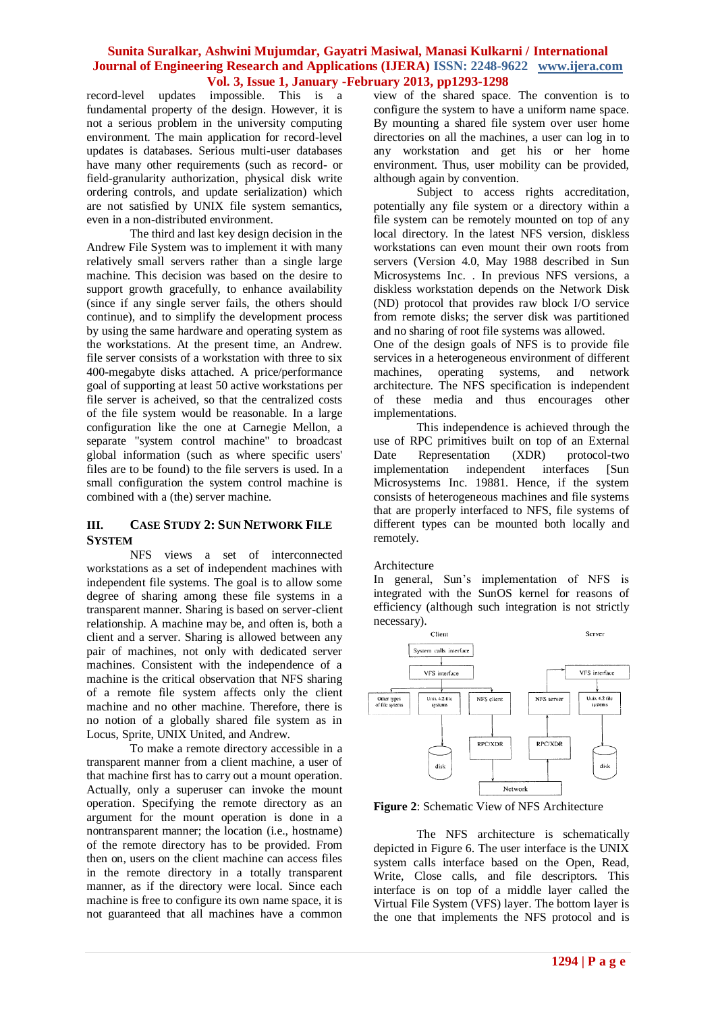record-level updates impossible. This is a fundamental property of the design. However, it is not a serious problem in the university computing environment. The main application for record-level updates is databases. Serious multi-user databases have many other requirements (such as record- or field-granularity authorization, physical disk write ordering controls, and update serialization) which are not satisfied by UNIX file system semantics, even in a non-distributed environment.

The third and last key design decision in the Andrew File System was to implement it with many relatively small servers rather than a single large machine. This decision was based on the desire to support growth gracefully, to enhance availability (since if any single server fails, the others should continue), and to simplify the development process by using the same hardware and operating system as the workstations. At the present time, an Andrew. file server consists of a workstation with three to six 400-megabyte disks attached. A price/performance goal of supporting at least 50 active workstations per file server is acheived, so that the centralized costs of the file system would be reasonable. In a large configuration like the one at Carnegie Mellon, a separate "system control machine" to broadcast global information (such as where specific users' files are to be found) to the file servers is used. In a small configuration the system control machine is combined with a (the) server machine.

#### **III. CASE STUDY 2: SUN NETWORK FILE SYSTEM**

NFS views a set of interconnected workstations as a set of independent machines with independent file systems. The goal is to allow some degree of sharing among these file systems in a transparent manner. Sharing is based on server-client relationship. A machine may be, and often is, both a client and a server. Sharing is allowed between any pair of machines, not only with dedicated server machines. Consistent with the independence of a machine is the critical observation that NFS sharing of a remote file system affects only the client machine and no other machine. Therefore, there is no notion of a globally shared file system as in Locus, Sprite, UNIX United, and Andrew.

To make a remote directory accessible in a transparent manner from a client machine, a user of that machine first has to carry out a mount operation. Actually, only a superuser can invoke the mount operation. Specifying the remote directory as an argument for the mount operation is done in a nontransparent manner; the location (i.e., hostname) of the remote directory has to be provided. From then on, users on the client machine can access files in the remote directory in a totally transparent manner, as if the directory were local. Since each machine is free to configure its own name space, it is not guaranteed that all machines have a common

view of the shared space. The convention is to configure the system to have a uniform name space. By mounting a shared file system over user home directories on all the machines, a user can log in to any workstation and get his or her home environment. Thus, user mobility can be provided, although again by convention.

Subject to access rights accreditation, potentially any file system or a directory within a file system can be remotely mounted on top of any local directory. In the latest NFS version, diskless workstations can even mount their own roots from servers (Version 4.0, May 1988 described in Sun Microsystems Inc. . In previous NFS versions, a diskless workstation depends on the Network Disk (ND) protocol that provides raw block I/O service from remote disks; the server disk was partitioned and no sharing of root file systems was allowed.

One of the design goals of NFS is to provide file services in a heterogeneous environment of different machines, operating systems, and network architecture. The NFS specification is independent of these media and thus encourages other implementations.

This independence is achieved through the use of RPC primitives built on top of an External Date Representation (XDR) protocol-two implementation independent interfaces [Sun] Microsystems Inc. 19881. Hence, if the system consists of heterogeneous machines and file systems that are properly interfaced to NFS, file systems of different types can be mounted both locally and remotely.

#### Architecture

In general, Sun's implementation of NFS is integrated with the SunOS kernel for reasons of efficiency (although such integration is not strictly necessary).



**Figure 2**: Schematic View of NFS Architecture

The NFS architecture is schematically depicted in Figure 6. The user interface is the UNIX system calls interface based on the Open, Read, Write, Close calls, and file descriptors. This interface is on top of a middle layer called the Virtual File System (VFS) layer. The bottom layer is the one that implements the NFS protocol and is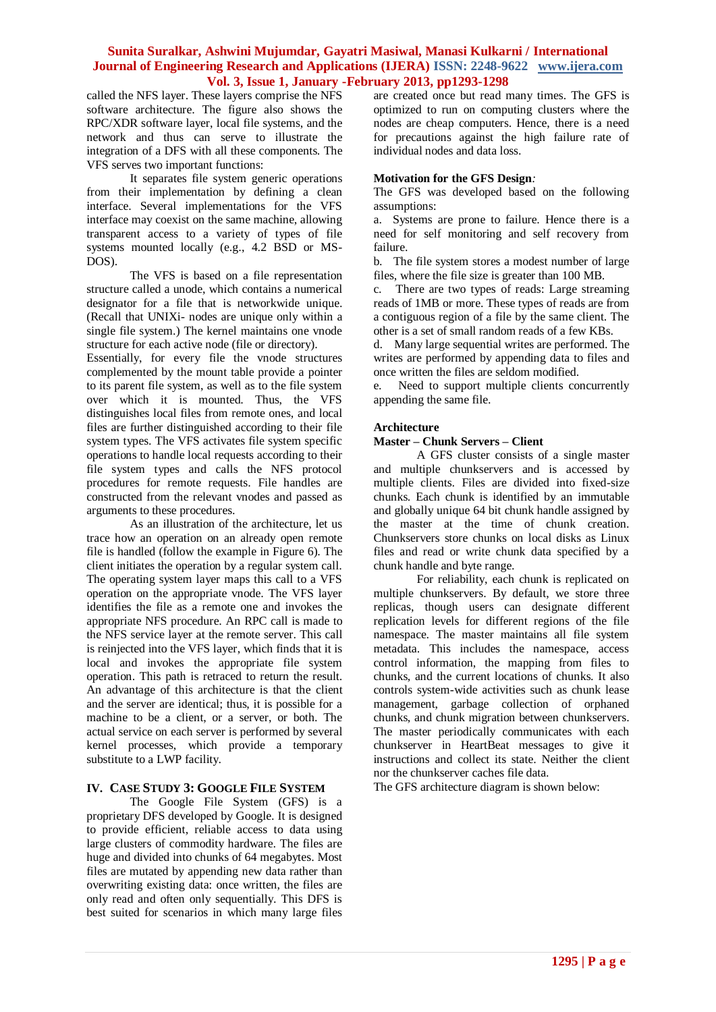called the NFS layer. These layers comprise the NFS software architecture. The figure also shows the RPC/XDR software layer, local file systems, and the network and thus can serve to illustrate the integration of a DFS with all these components. The VFS serves two important functions:

It separates file system generic operations from their implementation by defining a clean interface. Several implementations for the VFS interface may coexist on the same machine, allowing transparent access to a variety of types of file systems mounted locally (e.g., 4.2 BSD or MS-DOS).

The VFS is based on a file representation structure called a unode, which contains a numerical designator for a file that is networkwide unique. (Recall that UNIXi- nodes are unique only within a single file system.) The kernel maintains one vnode structure for each active node (file or directory).

Essentially, for every file the vnode structures complemented by the mount table provide a pointer to its parent file system, as well as to the file system over which it is mounted. Thus, the VFS distinguishes local files from remote ones, and local files are further distinguished according to their file system types. The VFS activates file system specific operations to handle local requests according to their file system types and calls the NFS protocol procedures for remote requests. File handles are constructed from the relevant vnodes and passed as arguments to these procedures.

As an illustration of the architecture, let us trace how an operation on an already open remote file is handled (follow the example in Figure 6). The client initiates the operation by a regular system call. The operating system layer maps this call to a VFS operation on the appropriate vnode. The VFS layer identifies the file as a remote one and invokes the appropriate NFS procedure. An RPC call is made to the NFS service layer at the remote server. This call is reinjected into the VFS layer, which finds that it is local and invokes the appropriate file system operation. This path is retraced to return the result. An advantage of this architecture is that the client and the server are identical; thus, it is possible for a machine to be a client, or a server, or both. The actual service on each server is performed by several kernel processes, which provide a temporary substitute to a LWP facility.

#### **IV. CASE STUDY 3: GOOGLE FILE SYSTEM**

The Google File System (GFS) is a proprietary DFS developed by Google. It is designed to provide efficient, reliable access to data using large clusters of commodity hardware. The files are huge and divided into chunks of 64 megabytes. Most files are mutated by appending new data rather than overwriting existing data: once written, the files are only read and often only sequentially. This DFS is best suited for scenarios in which many large files

are created once but read many times. The GFS is optimized to run on computing clusters where the nodes are cheap computers. Hence, there is a need for precautions against the high failure rate of individual nodes and data loss.

#### **Motivation for the GFS Design***:*

The GFS was developed based on the following assumptions:

a. Systems are prone to failure. Hence there is a need for self monitoring and self recovery from failure.

b. The file system stores a modest number of large files, where the file size is greater than 100 MB.

c. There are two types of reads: Large streaming reads of 1MB or more. These types of reads are from a contiguous region of a file by the same client. The other is a set of small random reads of a few KBs.

d. Many large sequential writes are performed. The writes are performed by appending data to files and once written the files are seldom modified.

e. Need to support multiple clients concurrently appending the same file.

#### **Architecture**

#### **Master – Chunk Servers – Client**

A GFS cluster consists of a single master and multiple chunkservers and is accessed by multiple clients. Files are divided into fixed-size chunks. Each chunk is identified by an immutable and globally unique 64 bit chunk handle assigned by the master at the time of chunk creation. Chunkservers store chunks on local disks as Linux files and read or write chunk data specified by a chunk handle and byte range.

For reliability, each chunk is replicated on multiple chunkservers. By default, we store three replicas, though users can designate different replication levels for different regions of the file namespace. The master maintains all file system metadata. This includes the namespace, access control information, the mapping from files to chunks, and the current locations of chunks. It also controls system-wide activities such as chunk lease management, garbage collection of orphaned chunks, and chunk migration between chunkservers. The master periodically communicates with each chunkserver in HeartBeat messages to give it instructions and collect its state. Neither the client nor the chunkserver caches file data.

The GFS architecture diagram is shown below: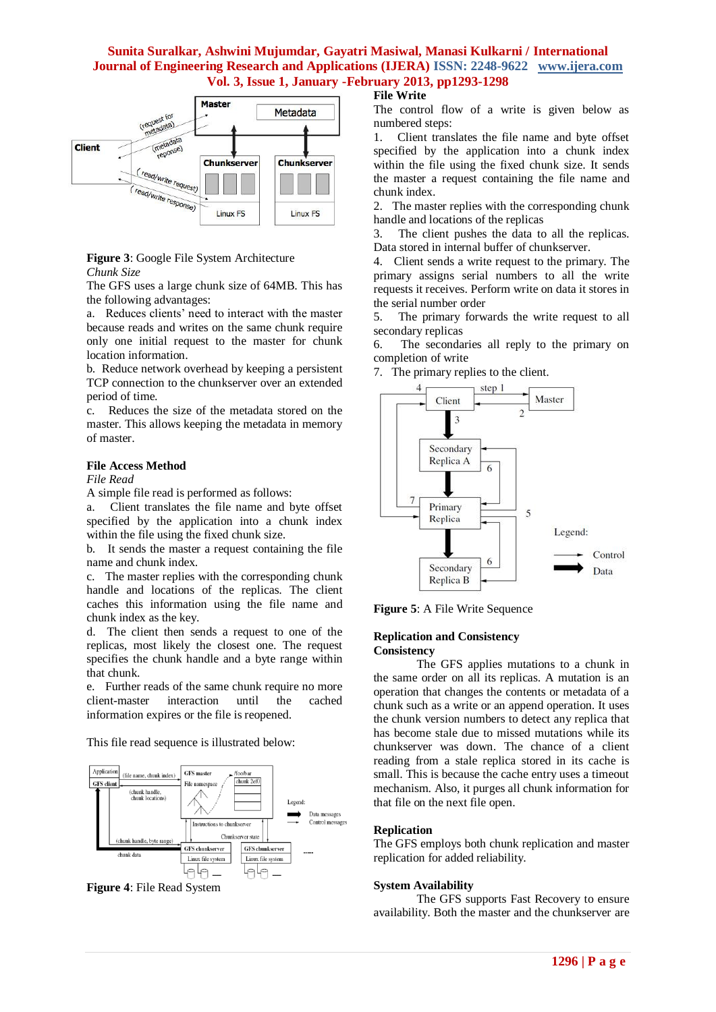

#### **Figure 3**: Google File System Architecture *Chunk Size*

The GFS uses a large chunk size of 64MB. This has the following advantages:

a. Reduces clients' need to interact with the master because reads and writes on the same chunk require only one initial request to the master for chunk location information.

b. Reduce network overhead by keeping a persistent TCP connection to the chunkserver over an extended period of time.

c. Reduces the size of the metadata stored on the master. This allows keeping the metadata in memory of master.

#### **File Access Method**

#### *File Read*

A simple file read is performed as follows:

a. Client translates the file name and byte offset specified by the application into a chunk index within the file using the fixed chunk size.

b. It sends the master a request containing the file name and chunk index.

c. The master replies with the corresponding chunk handle and locations of the replicas. The client caches this information using the file name and chunk index as the key.

d. The client then sends a request to one of the replicas, most likely the closest one. The request specifies the chunk handle and a byte range within that chunk.

e. Further reads of the same chunk require no more client-master interaction until the cached information expires or the file is reopened.

This file read sequence is illustrated below:



**Figure 4**: File Read System

**File Write**

The control flow of a write is given below as numbered steps:

1. Client translates the file name and byte offset specified by the application into a chunk index within the file using the fixed chunk size. It sends the master a request containing the file name and chunk index.

2. The master replies with the corresponding chunk handle and locations of the replicas

3. The client pushes the data to all the replicas. Data stored in internal buffer of chunkserver.

4. Client sends a write request to the primary. The primary assigns serial numbers to all the write requests it receives. Perform write on data it stores in the serial number order

5. The primary forwards the write request to all secondary replicas

6. The secondaries all reply to the primary on completion of write

7. The primary replies to the client.



**Figure 5**: A File Write Sequence

## **Replication and Consistency**

**Consistency**

The GFS applies mutations to a chunk in the same order on all its replicas. A mutation is an operation that changes the contents or metadata of a chunk such as a write or an append operation. It uses the chunk version numbers to detect any replica that has become stale due to missed mutations while its chunkserver was down. The chance of a client reading from a stale replica stored in its cache is small. This is because the cache entry uses a timeout mechanism. Also, it purges all chunk information for that file on the next file open.

#### **Replication**

The GFS employs both chunk replication and master replication for added reliability.

#### **System Availability**

The GFS supports Fast Recovery to ensure availability. Both the master and the chunkserver are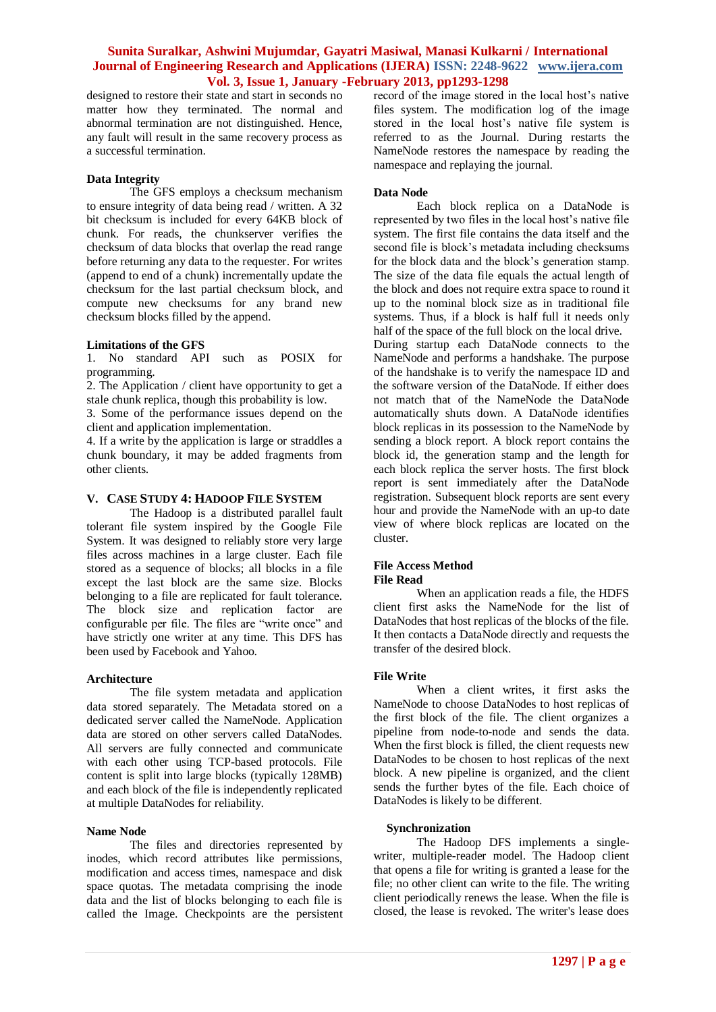designed to restore their state and start in seconds no matter how they terminated. The normal and abnormal termination are not distinguished. Hence, any fault will result in the same recovery process as a successful termination.

#### **Data Integrity**

The GFS employs a checksum mechanism to ensure integrity of data being read / written. A 32 bit checksum is included for every 64KB block of chunk. For reads, the chunkserver verifies the checksum of data blocks that overlap the read range before returning any data to the requester. For writes (append to end of a chunk) incrementally update the checksum for the last partial checksum block, and compute new checksums for any brand new checksum blocks filled by the append.

#### **Limitations of the GFS**

1. No standard API such as POSIX for programming.

2. The Application / client have opportunity to get a stale chunk replica, though this probability is low.

3. Some of the performance issues depend on the client and application implementation.

4. If a write by the application is large or straddles a chunk boundary, it may be added fragments from other clients.

#### **V. CASE STUDY 4: HADOOP FILE SYSTEM**

The Hadoop is a distributed parallel fault tolerant file system inspired by the Google File System. It was designed to reliably store very large files across machines in a large cluster. Each file stored as a sequence of blocks; all blocks in a file except the last block are the same size. Blocks belonging to a file are replicated for fault tolerance. The block size and replication factor are configurable per file. The files are "write once" and have strictly one writer at any time. This DFS has been used by Facebook and Yahoo.

#### **Architecture**

The file system metadata and application data stored separately. The Metadata stored on a dedicated server called the NameNode. Application data are stored on other servers called DataNodes. All servers are fully connected and communicate with each other using TCP-based protocols. File content is split into large blocks (typically 128MB) and each block of the file is independently replicated at multiple DataNodes for reliability.

#### **Name Node**

The files and directories represented by inodes, which record attributes like permissions, modification and access times, namespace and disk space quotas. The metadata comprising the inode data and the list of blocks belonging to each file is called the Image. Checkpoints are the persistent

record of the image stored in the local host's native files system. The modification log of the image stored in the local host's native file system is referred to as the Journal. During restarts the NameNode restores the namespace by reading the namespace and replaying the journal.

#### **Data Node**

Each block replica on a DataNode is represented by two files in the local host's native file system. The first file contains the data itself and the second file is block's metadata including checksums for the block data and the block's generation stamp. The size of the data file equals the actual length of the block and does not require extra space to round it up to the nominal block size as in traditional file systems. Thus, if a block is half full it needs only half of the space of the full block on the local drive. During startup each DataNode connects to the NameNode and performs a handshake. The purpose of the handshake is to verify the namespace ID and the software version of the DataNode. If either does not match that of the NameNode the DataNode automatically shuts down. A DataNode identifies block replicas in its possession to the NameNode by sending a block report. A block report contains the block id, the generation stamp and the length for each block replica the server hosts. The first block report is sent immediately after the DataNode registration. Subsequent block reports are sent every hour and provide the NameNode with an up-to date view of where block replicas are located on the cluster.

#### **File Access Method File Read**

When an application reads a file, the HDFS client first asks the NameNode for the list of DataNodes that host replicas of the blocks of the file. It then contacts a DataNode directly and requests the transfer of the desired block.

#### **File Write**

When a client writes, it first asks the NameNode to choose DataNodes to host replicas of the first block of the file. The client organizes a pipeline from node-to-node and sends the data. When the first block is filled, the client requests new DataNodes to be chosen to host replicas of the next block. A new pipeline is organized, and the client sends the further bytes of the file. Each choice of DataNodes is likely to be different.

#### **Synchronization**

The Hadoop DFS implements a singlewriter, multiple-reader model. The Hadoop client that opens a file for writing is granted a lease for the file; no other client can write to the file. The writing client periodically renews the lease. When the file is closed, the lease is revoked. The writer's lease does